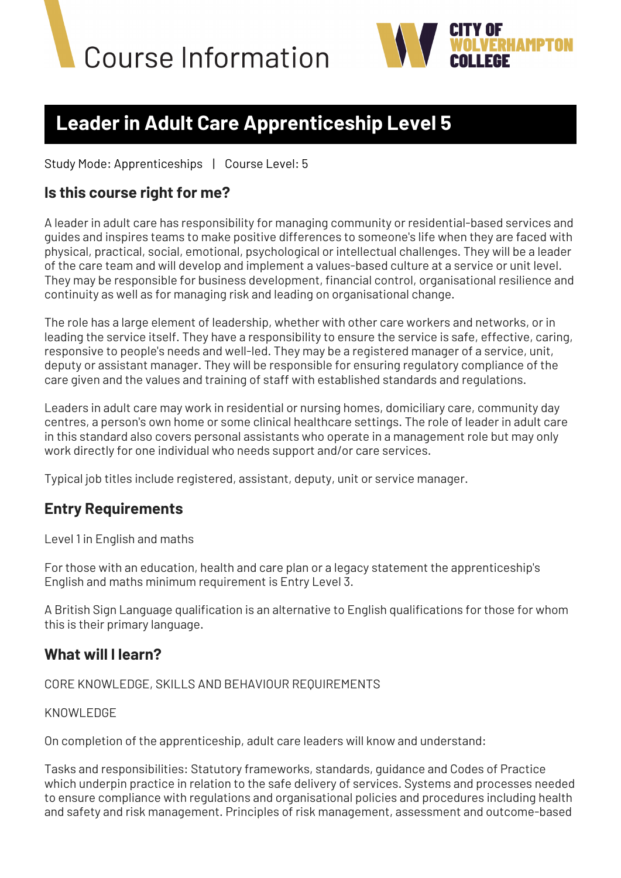



# **Leader in Adult Care Apprenticeship Level 5**

Study Mode: Apprenticeships | Course Level: 5

## **Is this course right for me?**

A leader in adult care has responsibility for managing community or residential-based services and guides and inspires teams to make positive differences to someone's life when they are faced with physical, practical, social, emotional, psychological or intellectual challenges. They will be a leader of the care team and will develop and implement a values-based culture at a service or unit level. They may be responsible for business development, financial control, organisational resilience and continuity as well as for managing risk and leading on organisational change.

The role has a large element of leadership, whether with other care workers and networks, or in leading the service itself. They have a responsibility to ensure the service is safe, effective, caring, responsive to people's needs and well-led. They may be a registered manager of a service, unit, deputy or assistant manager. They will be responsible for ensuring regulatory compliance of the care given and the values and training of staff with established standards and regulations.

Leaders in adult care may work in residential or nursing homes, domiciliary care, community day centres, a person's own home or some clinical healthcare settings. The role of leader in adult care in this standard also covers personal assistants who operate in a management role but may only work directly for one individual who needs support and/or care services.

Typical job titles include registered, assistant, deputy, unit or service manager.

### **Entry Requirements**

Level 1 in English and maths

For those with an education, health and care plan or a legacy statement the apprenticeship's English and maths minimum requirement is Entry Level 3.

A British Sign Language qualification is an alternative to English qualifications for those for whom this is their primary language.

### **What will I learn?**

CORE KNOWLEDGE, SKILLS AND BEHAVIOUR REQUIREMENTS

KNOWLEDGE

On completion of the apprenticeship, adult care leaders will know and understand:

Tasks and responsibilities: Statutory frameworks, standards, guidance and Codes of Practice which underpin practice in relation to the safe delivery of services. Systems and processes needed to ensure compliance with regulations and organisational policies and procedures including health and safety and risk management. Principles of risk management, assessment and outcome-based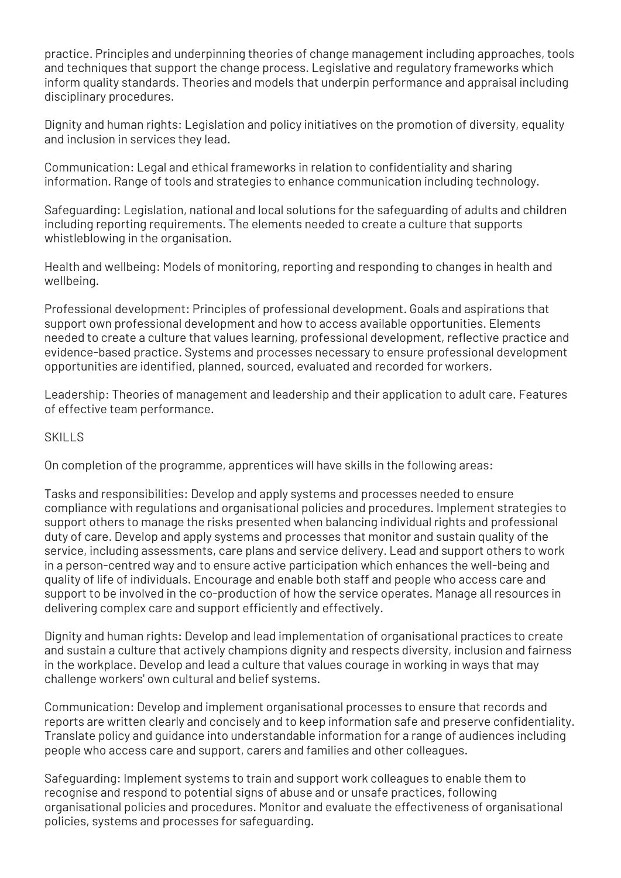practice. Principles and underpinning theories of change management including approaches, tools and techniques that support the change process. Legislative and regulatory frameworks which inform quality standards. Theories and models that underpin performance and appraisal including disciplinary procedures.

Dignity and human rights: Legislation and policy initiatives on the promotion of diversity, equality and inclusion in services they lead.

Communication: Legal and ethical frameworks in relation to confidentiality and sharing information. Range of tools and strategies to enhance communication including technology.

Safeguarding: Legislation, national and local solutions for the safeguarding of adults and children including reporting requirements. The elements needed to create a culture that supports whistleblowing in the organisation.

Health and wellbeing: Models of monitoring, reporting and responding to changes in health and wellbeing.

Professional development: Principles of professional development. Goals and aspirations that support own professional development and how to access available opportunities. Elements needed to create a culture that values learning, professional development, reflective practice and evidence-based practice. Systems and processes necessary to ensure professional development opportunities are identified, planned, sourced, evaluated and recorded for workers.

Leadership: Theories of management and leadership and their application to adult care. Features of effective team performance.

#### SKILLS

On completion of the programme, apprentices will have skills in the following areas:

Tasks and responsibilities: Develop and apply systems and processes needed to ensure compliance with regulations and organisational policies and procedures. Implement strategies to support others to manage the risks presented when balancing individual rights and professional duty of care. Develop and apply systems and processes that monitor and sustain quality of the service, including assessments, care plans and service delivery. Lead and support others to work in a person-centred way and to ensure active participation which enhances the well-being and quality of life of individuals. Encourage and enable both staff and people who access care and support to be involved in the co-production of how the service operates. Manage all resources in delivering complex care and support efficiently and effectively.

Dignity and human rights: Develop and lead implementation of organisational practices to create and sustain a culture that actively champions dignity and respects diversity, inclusion and fairness in the workplace. Develop and lead a culture that values courage in working in ways that may challenge workers' own cultural and belief systems.

Communication: Develop and implement organisational processes to ensure that records and reports are written clearly and concisely and to keep information safe and preserve confidentiality. Translate policy and guidance into understandable information for a range of audiences including people who access care and support, carers and families and other colleagues.

Safeguarding: Implement systems to train and support work colleagues to enable them to recognise and respond to potential signs of abuse and or unsafe practices, following organisational policies and procedures. Monitor and evaluate the effectiveness of organisational policies, systems and processes for safeguarding.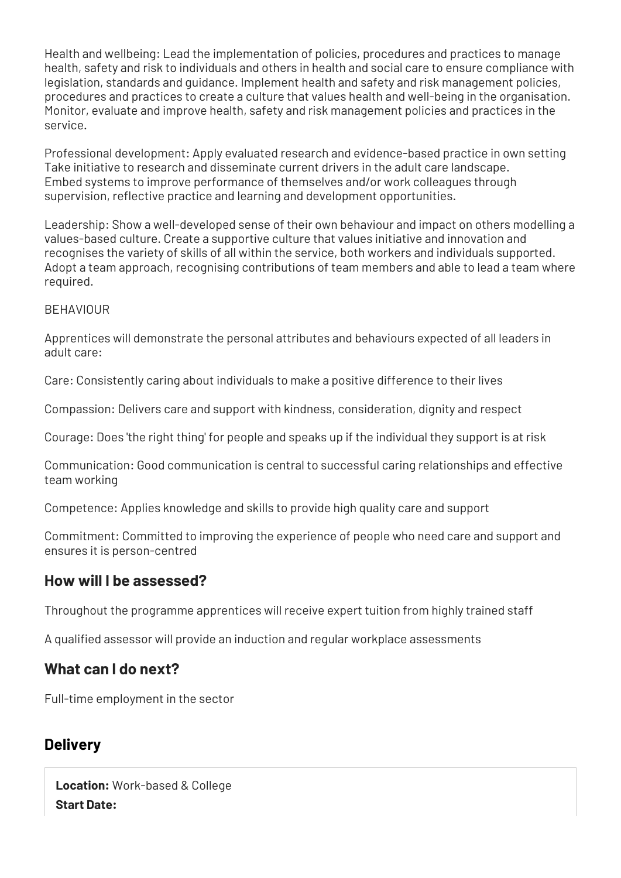Health and wellbeing: Lead the implementation of policies, procedures and practices to manage health, safety and risk to individuals and others in health and social care to ensure compliance with legislation, standards and guidance. Implement health and safety and risk management policies, procedures and practices to create a culture that values health and well-being in the organisation. Monitor, evaluate and improve health, safety and risk management policies and practices in the service.

Professional development: Apply evaluated research and evidence-based practice in own setting Take initiative to research and disseminate current drivers in the adult care landscape. Embed systems to improve performance of themselves and/or work colleagues through supervision, reflective practice and learning and development opportunities.

Leadership: Show a well-developed sense of their own behaviour and impact on others modelling a values-based culture. Create a supportive culture that values initiative and innovation and recognises the variety of skills of all within the service, both workers and individuals supported. Adopt a team approach, recognising contributions of team members and able to lead a team where required.

#### **BEHAVIOUR**

Apprentices will demonstrate the personal attributes and behaviours expected of all leaders in adult care:

Care: Consistently caring about individuals to make a positive difference to their lives

Compassion: Delivers care and support with kindness, consideration, dignity and respect

Courage: Does 'the right thing' for people and speaks up if the individual they support is at risk

Communication: Good communication is central to successful caring relationships and effective team working

Competence: Applies knowledge and skills to provide high quality care and support

Commitment: Committed to improving the experience of people who need care and support and ensures it is person-centred

# **How will I be assessed?**

Throughout the programme apprentices will receive expert tuition from highly trained staff

A qualified assessor will provide an induction and regular workplace assessments

### **What can I do next?**

Full-time employment in the sector

### **Delivery**

**Location:** Work-based & College **Start Date:**